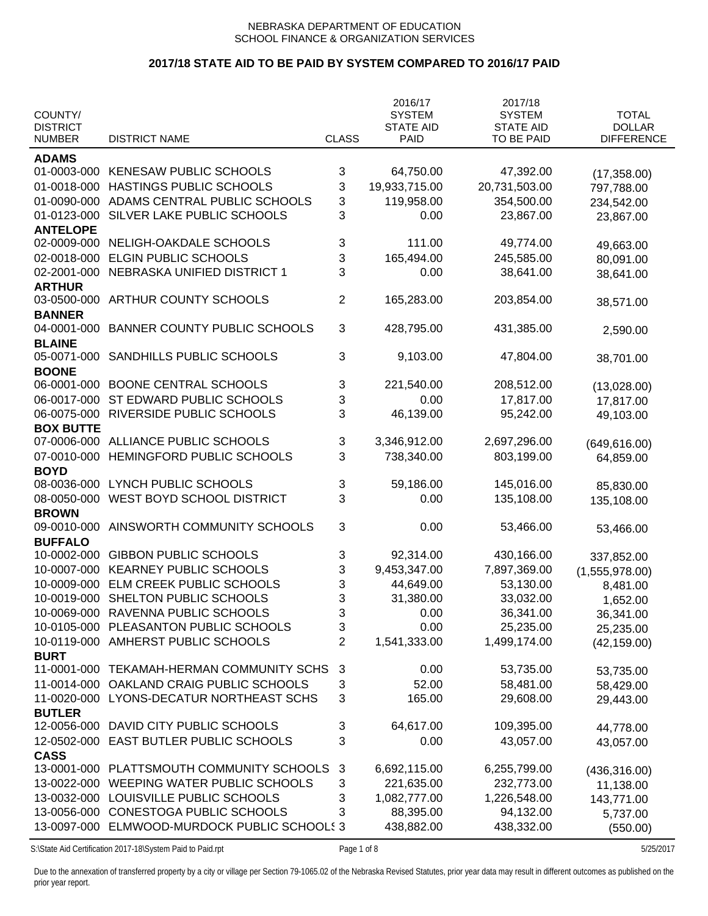# **2017/18 STATE AID TO BE PAID BY SYSTEM COMPARED TO 2016/17 PAID**

| COUNTY/<br><b>DISTRICT</b><br><b>NUMBER</b> | <b>DISTRICT NAME</b>                                       | <b>CLASS</b> | 2016/17<br><b>SYSTEM</b><br><b>STATE AID</b><br>PAID | 2017/18<br><b>SYSTEM</b><br><b>STATE AID</b><br>TO BE PAID | <b>TOTAL</b><br><b>DOLLAR</b><br><b>DIFFERENCE</b> |
|---------------------------------------------|------------------------------------------------------------|--------------|------------------------------------------------------|------------------------------------------------------------|----------------------------------------------------|
| <b>ADAMS</b>                                |                                                            |              |                                                      |                                                            |                                                    |
| 01-0003-000                                 | <b>KENESAW PUBLIC SCHOOLS</b>                              | 3            | 64,750.00                                            | 47,392.00                                                  | (17, 358.00)                                       |
| 01-0018-000                                 | HASTINGS PUBLIC SCHOOLS                                    | 3            | 19,933,715.00                                        | 20,731,503.00                                              | 797,788.00                                         |
| 01-0090-000                                 | ADAMS CENTRAL PUBLIC SCHOOLS                               | 3            | 119,958.00                                           | 354,500.00                                                 | 234,542.00                                         |
| 01-0123-000                                 | SILVER LAKE PUBLIC SCHOOLS                                 | 3            | 0.00                                                 | 23,867.00                                                  | 23,867.00                                          |
| <b>ANTELOPE</b>                             |                                                            |              |                                                      |                                                            |                                                    |
| 02-0009-000                                 | NELIGH-OAKDALE SCHOOLS                                     | 3            | 111.00                                               | 49,774.00                                                  |                                                    |
| 02-0018-000                                 | <b>ELGIN PUBLIC SCHOOLS</b>                                | 3            | 165,494.00                                           | 245,585.00                                                 | 49,663.00                                          |
| 02-2001-000                                 | NEBRASKA UNIFIED DISTRICT 1                                | 3            | 0.00                                                 | 38,641.00                                                  | 80,091.00                                          |
| <b>ARTHUR</b>                               |                                                            |              |                                                      |                                                            | 38,641.00                                          |
| 03-0500-000                                 | ARTHUR COUNTY SCHOOLS                                      | 2            | 165,283.00                                           | 203,854.00                                                 | 38,571.00                                          |
| <b>BANNER</b>                               |                                                            |              |                                                      |                                                            |                                                    |
| 04-0001-000                                 | <b>BANNER COUNTY PUBLIC SCHOOLS</b>                        | 3            | 428,795.00                                           | 431,385.00                                                 | 2,590.00                                           |
| <b>BLAINE</b>                               |                                                            |              |                                                      |                                                            |                                                    |
| 05-0071-000                                 | SANDHILLS PUBLIC SCHOOLS                                   | 3            | 9,103.00                                             | 47,804.00                                                  | 38,701.00                                          |
| <b>BOONE</b>                                |                                                            |              |                                                      |                                                            |                                                    |
| 06-0001-000                                 | <b>BOONE CENTRAL SCHOOLS</b>                               | 3            | 221,540.00                                           | 208,512.00                                                 | (13,028.00)                                        |
| 06-0017-000                                 | ST EDWARD PUBLIC SCHOOLS                                   | 3            | 0.00                                                 | 17,817.00                                                  | 17,817.00                                          |
| 06-0075-000                                 | RIVERSIDE PUBLIC SCHOOLS                                   | 3            | 46,139.00                                            | 95,242.00                                                  | 49,103.00                                          |
| <b>BOX BUTTE</b>                            |                                                            |              |                                                      |                                                            |                                                    |
| 07-0006-000                                 | ALLIANCE PUBLIC SCHOOLS                                    | 3            | 3,346,912.00                                         | 2,697,296.00                                               | (649, 616.00)                                      |
| 07-0010-000                                 | HEMINGFORD PUBLIC SCHOOLS                                  | 3            | 738,340.00                                           | 803,199.00                                                 | 64,859.00                                          |
| <b>BOYD</b>                                 |                                                            |              |                                                      |                                                            |                                                    |
| 08-0036-000                                 | LYNCH PUBLIC SCHOOLS                                       | 3            | 59,186.00                                            | 145,016.00                                                 | 85,830.00                                          |
| 08-0050-000                                 | WEST BOYD SCHOOL DISTRICT                                  | 3            | 0.00                                                 | 135,108.00                                                 | 135,108.00                                         |
| <b>BROWN</b>                                |                                                            |              |                                                      |                                                            |                                                    |
| 09-0010-000                                 | AINSWORTH COMMUNITY SCHOOLS                                | 3            | 0.00                                                 | 53,466.00                                                  | 53,466.00                                          |
| <b>BUFFALO</b>                              |                                                            |              |                                                      |                                                            |                                                    |
| 10-0002-000                                 | <b>GIBBON PUBLIC SCHOOLS</b>                               | 3            | 92,314.00                                            | 430,166.00                                                 | 337,852.00                                         |
| 10-0007-000                                 | <b>KEARNEY PUBLIC SCHOOLS</b>                              | 3            | 9,453,347.00                                         | 7,897,369.00                                               | (1,555,978.00)                                     |
|                                             | 10-0009-000 ELM CREEK PUBLIC SCHOOLS                       | 3            | 44,649.00                                            | 53,130.00                                                  | 8,481.00                                           |
|                                             | 10-0019-000 SHELTON PUBLIC SCHOOLS                         | 3            | 31,380.00                                            | 33,032.00                                                  | 1,652.00                                           |
|                                             | 10-0069-000 RAVENNA PUBLIC SCHOOLS                         | 3            | 0.00                                                 | 36,341.00                                                  | 36,341.00                                          |
|                                             | 10-0105-000 PLEASANTON PUBLIC SCHOOLS                      | 3            | 0.00                                                 | 25,235.00                                                  | 25,235.00                                          |
|                                             | 10-0119-000 AMHERST PUBLIC SCHOOLS                         | 2            | 1,541,333.00                                         | 1,499,174.00                                               | (42, 159.00)                                       |
| <b>BURT</b>                                 |                                                            |              |                                                      |                                                            |                                                    |
| 11-0001-000                                 | TEKAMAH-HERMAN COMMUNITY SCHS                              | 3            | 0.00                                                 | 53,735.00                                                  | 53,735.00                                          |
| 11-0014-000                                 | OAKLAND CRAIG PUBLIC SCHOOLS                               | 3            | 52.00                                                | 58,481.00                                                  | 58,429.00                                          |
| 11-0020-000                                 | LYONS-DECATUR NORTHEAST SCHS                               | 3            | 165.00                                               | 29,608.00                                                  | 29,443.00                                          |
| <b>BUTLER</b>                               |                                                            |              |                                                      |                                                            |                                                    |
| 12-0056-000                                 | DAVID CITY PUBLIC SCHOOLS                                  | 3            | 64,617.00                                            | 109,395.00                                                 | 44,778.00                                          |
| 12-0502-000                                 | EAST BUTLER PUBLIC SCHOOLS                                 | 3            | 0.00                                                 | 43,057.00                                                  | 43,057.00                                          |
| <b>CASS</b>                                 |                                                            |              |                                                      |                                                            |                                                    |
|                                             | 13-0001-000 PLATTSMOUTH COMMUNITY SCHOOLS                  | 3            | 6,692,115.00                                         | 6,255,799.00                                               | (436, 316.00)                                      |
| 13-0022-000                                 | WEEPING WATER PUBLIC SCHOOLS                               | 3            | 221,635.00                                           | 232,773.00                                                 | 11,138.00                                          |
| 13-0032-000                                 | LOUISVILLE PUBLIC SCHOOLS                                  | 3            | 1,082,777.00                                         | 1,226,548.00                                               | 143,771.00                                         |
|                                             | 13-0056-000 CONESTOGA PUBLIC SCHOOLS                       | 3            | 88,395.00                                            | 94,132.00                                                  | 5,737.00                                           |
|                                             | 13-0097-000 ELMWOOD-MURDOCK PUBLIC SCHOOLS 3               |              | 438,882.00                                           | 438,332.00                                                 | (550.00)                                           |
|                                             | S:\State Aid Certification 2017-18\System Paid to Paid.rpt | Page 1 of 8  |                                                      |                                                            | 5/25/2017                                          |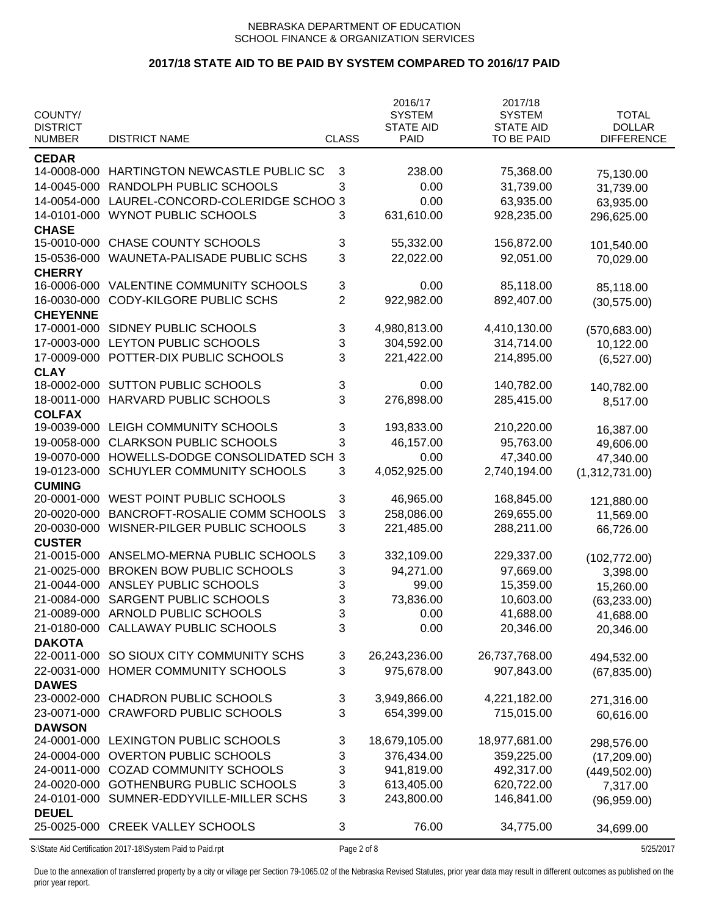# **2017/18 STATE AID TO BE PAID BY SYSTEM COMPARED TO 2016/17 PAID**

| COUNTY/<br><b>DISTRICT</b><br><b>NUMBER</b> | <b>DISTRICT NAME</b>                                       | <b>CLASS</b>   | 2016/17<br><b>SYSTEM</b><br><b>STATE AID</b><br>PAID | 2017/18<br><b>SYSTEM</b><br><b>STATE AID</b><br><b>TO BE PAID</b> | <b>TOTAL</b><br><b>DOLLAR</b><br><b>DIFFERENCE</b> |
|---------------------------------------------|------------------------------------------------------------|----------------|------------------------------------------------------|-------------------------------------------------------------------|----------------------------------------------------|
|                                             |                                                            |                |                                                      |                                                                   |                                                    |
| <b>CEDAR</b><br>14-0008-000                 | HARTINGTON NEWCASTLE PUBLIC SC                             |                | 238.00                                               |                                                                   |                                                    |
|                                             |                                                            | 3              |                                                      | 75,368.00                                                         | 75,130.00                                          |
| 14-0045-000                                 | RANDOLPH PUBLIC SCHOOLS                                    | 3              | 0.00                                                 | 31,739.00                                                         | 31,739.00                                          |
| 14-0054-000                                 | LAUREL-CONCORD-COLERIDGE SCHOO 3                           |                | 0.00                                                 | 63,935.00                                                         | 63,935.00                                          |
| 14-0101-000                                 | WYNOT PUBLIC SCHOOLS                                       | 3              | 631,610.00                                           | 928,235.00                                                        | 296,625.00                                         |
| <b>CHASE</b>                                | CHASE COUNTY SCHOOLS                                       |                |                                                      |                                                                   |                                                    |
| 15-0010-000                                 |                                                            | 3              | 55,332.00                                            | 156,872.00                                                        | 101,540.00                                         |
| 15-0536-000                                 | WAUNETA-PALISADE PUBLIC SCHS                               | 3              | 22,022.00                                            | 92,051.00                                                         | 70,029.00                                          |
| <b>CHERRY</b>                               |                                                            |                |                                                      |                                                                   |                                                    |
| 16-0006-000                                 | VALENTINE COMMUNITY SCHOOLS                                | 3              | 0.00                                                 | 85,118.00                                                         | 85,118.00                                          |
| 16-0030-000                                 | <b>CODY-KILGORE PUBLIC SCHS</b>                            | $\overline{2}$ | 922,982.00                                           | 892,407.00                                                        | (30, 575.00)                                       |
| <b>CHEYENNE</b>                             | SIDNEY PUBLIC SCHOOLS                                      |                |                                                      |                                                                   |                                                    |
| 17-0001-000                                 |                                                            | 3              | 4,980,813.00                                         | 4,410,130.00                                                      | (570, 683.00)                                      |
| 17-0003-000                                 | <b>LEYTON PUBLIC SCHOOLS</b>                               | 3              | 304,592.00                                           | 314,714.00                                                        | 10,122.00                                          |
| 17-0009-000                                 | POTTER-DIX PUBLIC SCHOOLS                                  | 3              | 221,422.00                                           | 214,895.00                                                        | (6,527.00)                                         |
| <b>CLAY</b>                                 | <b>SUTTON PUBLIC SCHOOLS</b>                               |                |                                                      |                                                                   |                                                    |
| 18-0002-000                                 |                                                            | 3              | 0.00                                                 | 140,782.00                                                        | 140,782.00                                         |
| 18-0011-000                                 | HARVARD PUBLIC SCHOOLS                                     | 3              | 276,898.00                                           | 285,415.00                                                        | 8,517.00                                           |
| <b>COLFAX</b>                               |                                                            |                |                                                      |                                                                   |                                                    |
| 19-0039-000                                 | LEIGH COMMUNITY SCHOOLS                                    | 3              | 193,833.00                                           | 210,220.00                                                        | 16,387.00                                          |
| 19-0058-000                                 | <b>CLARKSON PUBLIC SCHOOLS</b>                             | 3              | 46,157.00                                            | 95,763.00                                                         | 49,606.00                                          |
| 19-0070-000                                 | HOWELLS-DODGE CONSOLIDATED SCH                             | 3              | 0.00                                                 | 47,340.00                                                         | 47,340.00                                          |
| 19-0123-000                                 | SCHUYLER COMMUNITY SCHOOLS                                 | 3              | 4,052,925.00                                         | 2,740,194.00                                                      | (1,312,731.00)                                     |
| <b>CUMING</b>                               |                                                            |                |                                                      |                                                                   |                                                    |
| 20-0001-000                                 | WEST POINT PUBLIC SCHOOLS                                  | 3              | 46,965.00                                            | 168,845.00                                                        | 121,880.00                                         |
| 20-0020-000                                 | BANCROFT-ROSALIE COMM SCHOOLS                              | 3              | 258,086.00                                           | 269,655.00                                                        | 11,569.00                                          |
| 20-0030-000                                 | WISNER-PILGER PUBLIC SCHOOLS                               | 3              | 221,485.00                                           | 288,211.00                                                        | 66,726.00                                          |
| <b>CUSTER</b>                               |                                                            |                |                                                      |                                                                   |                                                    |
| 21-0015-000                                 | ANSELMO-MERNA PUBLIC SCHOOLS                               | 3              | 332,109.00                                           | 229,337.00                                                        | (102, 772.00)                                      |
| 21-0025-000                                 | <b>BROKEN BOW PUBLIC SCHOOLS</b>                           | 3              | 94,271.00                                            | 97,669.00                                                         | 3,398.00                                           |
| 21-0044-000                                 | ANSLEY PUBLIC SCHOOLS                                      | 3              | 99.00                                                | 15,359.00                                                         | 15,260.00                                          |
| 21-0084-000                                 | SARGENT PUBLIC SCHOOLS                                     | 3              | 73,836.00                                            | 10,603.00                                                         | (63, 233.00)                                       |
| 21-0089-000                                 | ARNOLD PUBLIC SCHOOLS                                      | 3              | 0.00                                                 | 41,688.00                                                         | 41,688.00                                          |
| 21-0180-000                                 | CALLAWAY PUBLIC SCHOOLS                                    | 3              | 0.00                                                 | 20,346.00                                                         | 20,346.00                                          |
| <b>DAKOTA</b>                               |                                                            |                |                                                      |                                                                   |                                                    |
| 22-0011-000                                 | SO SIOUX CITY COMMUNITY SCHS                               | 3              | 26,243,236.00                                        | 26,737,768.00                                                     | 494,532.00                                         |
| 22-0031-000                                 | HOMER COMMUNITY SCHOOLS                                    | 3              | 975,678.00                                           | 907,843.00                                                        | (67, 835.00)                                       |
| <b>DAWES</b>                                |                                                            |                |                                                      |                                                                   |                                                    |
| 23-0002-000                                 | <b>CHADRON PUBLIC SCHOOLS</b>                              | 3              | 3,949,866.00                                         | 4,221,182.00                                                      | 271,316.00                                         |
| 23-0071-000                                 | <b>CRAWFORD PUBLIC SCHOOLS</b>                             | 3              | 654,399.00                                           | 715,015.00                                                        | 60,616.00                                          |
| <b>DAWSON</b>                               |                                                            |                |                                                      |                                                                   |                                                    |
| 24-0001-000                                 | LEXINGTON PUBLIC SCHOOLS                                   | 3              | 18,679,105.00                                        | 18,977,681.00                                                     | 298,576.00                                         |
| 24-0004-000                                 | <b>OVERTON PUBLIC SCHOOLS</b>                              | 3              | 376,434.00                                           | 359,225.00                                                        | (17, 209.00)                                       |
| 24-0011-000                                 | <b>COZAD COMMUNITY SCHOOLS</b>                             | 3              | 941,819.00                                           | 492,317.00                                                        | (449, 502.00)                                      |
| 24-0020-000                                 | <b>GOTHENBURG PUBLIC SCHOOLS</b>                           | 3              | 613,405.00                                           | 620,722.00                                                        | 7,317.00                                           |
| 24-0101-000                                 | SUMNER-EDDYVILLE-MILLER SCHS                               | 3              | 243,800.00                                           | 146,841.00                                                        | (96, 959.00)                                       |
| <b>DEUEL</b><br>25-0025-000                 | <b>CREEK VALLEY SCHOOLS</b>                                | 3              | 76.00                                                | 34,775.00                                                         | 34,699.00                                          |
|                                             | S:\State Aid Certification 2017-18\System Paid to Paid.rpt | Page 2 of 8    |                                                      |                                                                   | 5/25/2017                                          |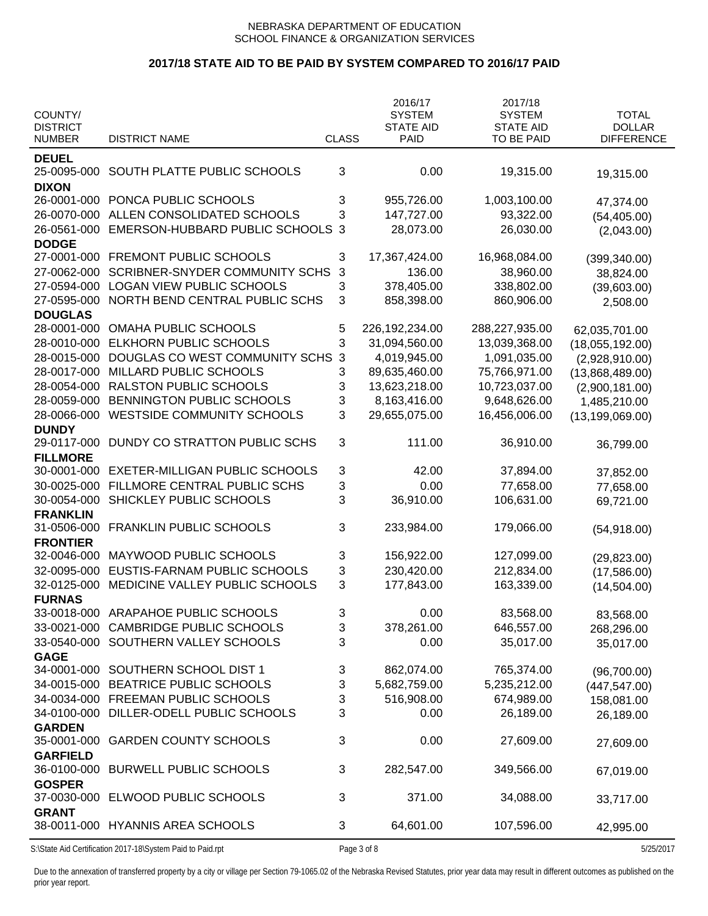# **2017/18 STATE AID TO BE PAID BY SYSTEM COMPARED TO 2016/17 PAID**

| COUNTY/<br><b>DISTRICT</b><br><b>NUMBER</b> | <b>DISTRICT NAME</b>                                       | <b>CLASS</b> | 2016/17<br><b>SYSTEM</b><br><b>STATE AID</b><br><b>PAID</b> | 2017/18<br><b>SYSTEM</b><br><b>STATE AID</b><br>TO BE PAID | <b>TOTAL</b><br><b>DOLLAR</b><br><b>DIFFERENCE</b> |
|---------------------------------------------|------------------------------------------------------------|--------------|-------------------------------------------------------------|------------------------------------------------------------|----------------------------------------------------|
|                                             |                                                            |              |                                                             |                                                            |                                                    |
| <b>DEUEL</b><br>25-0095-000<br><b>DIXON</b> | SOUTH PLATTE PUBLIC SCHOOLS                                | 3            | 0.00                                                        | 19,315.00                                                  | 19,315.00                                          |
| 26-0001-000                                 | PONCA PUBLIC SCHOOLS                                       | 3            | 955,726.00                                                  | 1,003,100.00                                               | 47,374.00                                          |
| 26-0070-000                                 | ALLEN CONSOLIDATED SCHOOLS                                 | 3            | 147,727.00                                                  | 93,322.00                                                  | (54, 405.00)                                       |
| 26-0561-000                                 | EMERSON-HUBBARD PUBLIC SCHOOLS 3                           |              | 28,073.00                                                   | 26,030.00                                                  | (2,043.00)                                         |
| <b>DODGE</b>                                |                                                            |              |                                                             |                                                            |                                                    |
| 27-0001-000                                 | FREMONT PUBLIC SCHOOLS                                     | 3            | 17,367,424.00                                               | 16,968,084.00                                              | (399, 340.00)                                      |
| 27-0062-000                                 | <b>SCRIBNER-SNYDER COMMUNITY SCHS</b>                      | $\mathbf{3}$ | 136.00                                                      | 38,960.00                                                  | 38,824.00                                          |
| 27-0594-000                                 | <b>LOGAN VIEW PUBLIC SCHOOLS</b>                           | 3            | 378,405.00                                                  | 338,802.00                                                 | (39,603.00)                                        |
| 27-0595-000                                 | NORTH BEND CENTRAL PUBLIC SCHS                             | 3            | 858,398.00                                                  | 860,906.00                                                 | 2,508.00                                           |
| <b>DOUGLAS</b>                              |                                                            |              |                                                             |                                                            |                                                    |
| 28-0001-000                                 | OMAHA PUBLIC SCHOOLS                                       | 5            | 226, 192, 234.00                                            | 288,227,935.00                                             | 62,035,701.00                                      |
| 28-0010-000                                 | ELKHORN PUBLIC SCHOOLS                                     | $\mathbf{3}$ | 31,094,560.00                                               | 13,039,368.00                                              | (18,055,192.00)                                    |
| 28-0015-000                                 | DOUGLAS CO WEST COMMUNITY SCHS                             | $\mathbf{3}$ | 4,019,945.00                                                | 1,091,035.00                                               | (2,928,910.00)                                     |
| 28-0017-000                                 | MILLARD PUBLIC SCHOOLS                                     | 3            | 89,635,460.00                                               | 75,766,971.00                                              | (13,868,489.00)                                    |
| 28-0054-000                                 | RALSTON PUBLIC SCHOOLS                                     | 3            | 13,623,218.00                                               | 10,723,037.00                                              | (2,900,181.00)                                     |
| 28-0059-000                                 | BENNINGTON PUBLIC SCHOOLS                                  | 3            | 8,163,416.00                                                | 9,648,626.00                                               | 1,485,210.00                                       |
| 28-0066-000                                 | <b>WESTSIDE COMMUNITY SCHOOLS</b>                          | 3            | 29,655,075.00                                               | 16,456,006.00                                              | (13, 199, 069.00)                                  |
| <b>DUNDY</b>                                |                                                            |              |                                                             |                                                            |                                                    |
| 29-0117-000                                 | DUNDY CO STRATTON PUBLIC SCHS                              | 3            | 111.00                                                      | 36,910.00                                                  | 36,799.00                                          |
| <b>FILLMORE</b>                             | <b>EXETER-MILLIGAN PUBLIC SCHOOLS</b>                      |              |                                                             |                                                            |                                                    |
| 30-0001-000                                 | FILLMORE CENTRAL PUBLIC SCHS                               | 3            | 42.00                                                       | 37,894.00                                                  | 37,852.00                                          |
| 30-0025-000<br>30-0054-000                  | SHICKLEY PUBLIC SCHOOLS                                    | 3<br>3       | 0.00                                                        | 77,658.00                                                  | 77,658.00                                          |
| <b>FRANKLIN</b>                             |                                                            |              | 36,910.00                                                   | 106,631.00                                                 | 69,721.00                                          |
| 31-0506-000                                 | <b>FRANKLIN PUBLIC SCHOOLS</b>                             | 3            | 233,984.00                                                  | 179,066.00                                                 |                                                    |
| <b>FRONTIER</b>                             |                                                            |              |                                                             |                                                            | (54, 918.00)                                       |
| 32-0046-000                                 | MAYWOOD PUBLIC SCHOOLS                                     | 3            | 156,922.00                                                  | 127,099.00                                                 | (29, 823.00)                                       |
| 32-0095-000                                 | EUSTIS-FARNAM PUBLIC SCHOOLS                               | 3            | 230,420.00                                                  | 212,834.00                                                 | (17,586.00)                                        |
| 32-0125-000                                 | MEDICINE VALLEY PUBLIC SCHOOLS                             | 3            | 177,843.00                                                  | 163,339.00                                                 | (14,504.00)                                        |
| <b>FURNAS</b>                               |                                                            |              |                                                             |                                                            |                                                    |
|                                             | 33-0018-000 ARAPAHOE PUBLIC SCHOOLS                        | 3            | 0.00                                                        | 83,568.00                                                  | 83,568.00                                          |
|                                             | 33-0021-000 CAMBRIDGE PUBLIC SCHOOLS                       | 3            | 378,261.00                                                  | 646,557.00                                                 | 268,296.00                                         |
|                                             | 33-0540-000 SOUTHERN VALLEY SCHOOLS                        | 3            | 0.00                                                        | 35,017.00                                                  | 35,017.00                                          |
| <b>GAGE</b>                                 |                                                            |              |                                                             |                                                            |                                                    |
|                                             | 34-0001-000 SOUTHERN SCHOOL DIST 1                         | 3            | 862,074.00                                                  | 765,374.00                                                 | (96, 700.00)                                       |
|                                             | 34-0015-000 BEATRICE PUBLIC SCHOOLS                        | 3            | 5,682,759.00                                                | 5,235,212.00                                               | (447, 547.00)                                      |
|                                             | 34-0034-000 FREEMAN PUBLIC SCHOOLS                         | 3            | 516,908.00                                                  | 674,989.00                                                 | 158,081.00                                         |
| 34-0100-000                                 | DILLER-ODELL PUBLIC SCHOOLS                                | 3            | 0.00                                                        | 26,189.00                                                  | 26,189.00                                          |
| <b>GARDEN</b>                               |                                                            |              |                                                             |                                                            |                                                    |
| 35-0001-000                                 | <b>GARDEN COUNTY SCHOOLS</b>                               | 3            | 0.00                                                        | 27,609.00                                                  | 27,609.00                                          |
| <b>GARFIELD</b>                             |                                                            |              |                                                             |                                                            |                                                    |
|                                             | 36-0100-000 BURWELL PUBLIC SCHOOLS                         | 3            | 282,547.00                                                  | 349,566.00                                                 | 67,019.00                                          |
| <b>GOSPER</b>                               |                                                            |              |                                                             |                                                            |                                                    |
|                                             | 37-0030-000 ELWOOD PUBLIC SCHOOLS                          | 3            | 371.00                                                      | 34,088.00                                                  | 33,717.00                                          |
| <b>GRANT</b>                                | 38-0011-000 HYANNIS AREA SCHOOLS                           | 3            | 64,601.00                                                   | 107,596.00                                                 | 42,995.00                                          |
|                                             |                                                            |              |                                                             |                                                            |                                                    |
|                                             | S:\State Aid Certification 2017-18\System Paid to Paid.rpt | Page 3 of 8  |                                                             |                                                            | 5/25/2017                                          |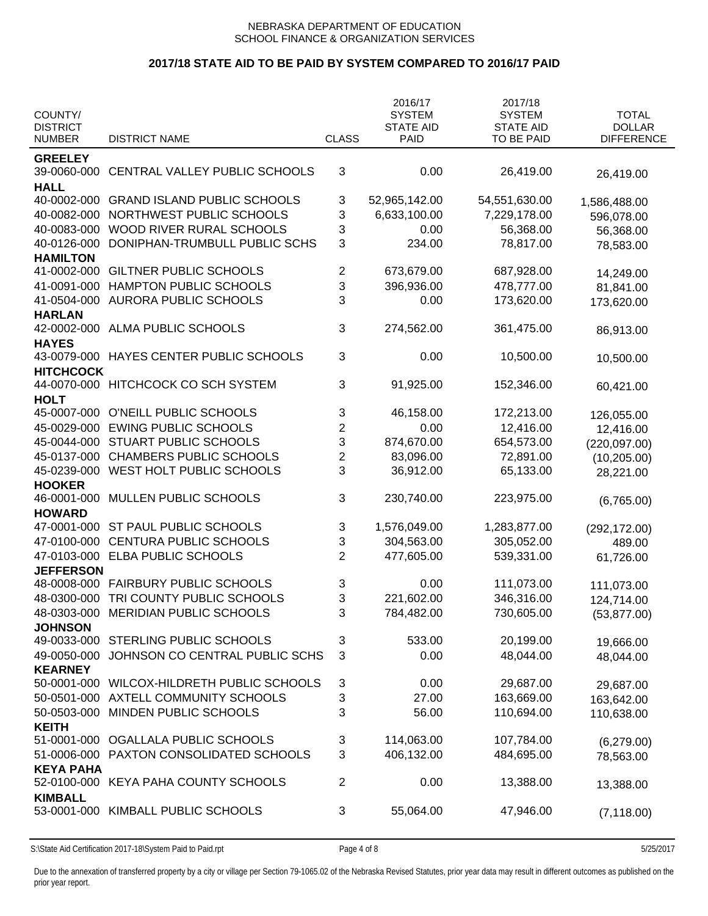# **2017/18 STATE AID TO BE PAID BY SYSTEM COMPARED TO 2016/17 PAID**

| COUNTY/<br><b>DISTRICT</b>     |                                     |                         | 2016/17<br><b>SYSTEM</b><br><b>STATE AID</b> | 2017/18<br><b>SYSTEM</b><br><b>STATE AID</b> | <b>TOTAL</b><br><b>DOLLAR</b> |
|--------------------------------|-------------------------------------|-------------------------|----------------------------------------------|----------------------------------------------|-------------------------------|
| <b>NUMBER</b>                  | <b>DISTRICT NAME</b>                | <b>CLASS</b>            | PAID                                         | TO BE PAID                                   | <b>DIFFERENCE</b>             |
| <b>GREELEY</b><br>39-0060-000  | CENTRAL VALLEY PUBLIC SCHOOLS       | 3                       | 0.00                                         | 26,419.00                                    | 26,419.00                     |
| <b>HALL</b>                    |                                     |                         |                                              |                                              |                               |
| 40-0002-000                    | <b>GRAND ISLAND PUBLIC SCHOOLS</b>  | 3                       | 52,965,142.00                                | 54,551,630.00                                | 1,586,488.00                  |
| 40-0082-000                    | NORTHWEST PUBLIC SCHOOLS            | 3                       | 6,633,100.00                                 | 7,229,178.00                                 | 596,078.00                    |
| 40-0083-000                    | WOOD RIVER RURAL SCHOOLS            | 3                       | 0.00                                         | 56,368.00                                    | 56,368.00                     |
| 40-0126-000                    | DONIPHAN-TRUMBULL PUBLIC SCHS       | 3                       | 234.00                                       | 78,817.00                                    | 78,583.00                     |
| <b>HAMILTON</b><br>41-0002-000 | <b>GILTNER PUBLIC SCHOOLS</b>       | 2                       | 673,679.00                                   | 687,928.00                                   |                               |
| 41-0091-000                    | HAMPTON PUBLIC SCHOOLS              | 3                       | 396,936.00                                   | 478,777.00                                   | 14,249.00                     |
| 41-0504-000                    | <b>AURORA PUBLIC SCHOOLS</b>        | 3                       | 0.00                                         | 173,620.00                                   | 81,841.00                     |
| <b>HARLAN</b>                  |                                     |                         |                                              |                                              | 173,620.00                    |
| 42-0002-000                    | ALMA PUBLIC SCHOOLS                 | 3                       | 274,562.00                                   | 361,475.00                                   | 86,913.00                     |
| <b>HAYES</b><br>43-0079-000    | HAYES CENTER PUBLIC SCHOOLS         | 3                       | 0.00                                         | 10,500.00                                    | 10,500.00                     |
| <b>HITCHCOCK</b>               |                                     |                         |                                              |                                              |                               |
| 44-0070-000<br><b>HOLT</b>     | HITCHCOCK CO SCH SYSTEM             | 3                       | 91,925.00                                    | 152,346.00                                   | 60,421.00                     |
| 45-0007-000                    | O'NEILL PUBLIC SCHOOLS              | 3                       | 46,158.00                                    | 172,213.00                                   | 126,055.00                    |
| 45-0029-000                    | <b>EWING PUBLIC SCHOOLS</b>         | $\overline{c}$          | 0.00                                         | 12,416.00                                    | 12,416.00                     |
| 45-0044-000                    | STUART PUBLIC SCHOOLS               | 3                       | 874,670.00                                   | 654,573.00                                   | (220, 097.00)                 |
| 45-0137-000                    | <b>CHAMBERS PUBLIC SCHOOLS</b>      | $\overline{\mathbf{c}}$ | 83,096.00                                    | 72,891.00                                    | (10, 205.00)                  |
| 45-0239-000                    | WEST HOLT PUBLIC SCHOOLS            | 3                       | 36,912.00                                    | 65,133.00                                    | 28,221.00                     |
| <b>HOOKER</b>                  |                                     |                         |                                              |                                              |                               |
| 46-0001-000                    | MULLEN PUBLIC SCHOOLS               | 3                       | 230,740.00                                   | 223,975.00                                   | (6,765.00)                    |
| <b>HOWARD</b>                  |                                     |                         |                                              |                                              |                               |
| 47-0001-000                    | ST PAUL PUBLIC SCHOOLS              | 3                       | 1,576,049.00                                 | 1,283,877.00                                 | (292, 172.00)                 |
| 47-0100-000                    | <b>CENTURA PUBLIC SCHOOLS</b>       | 3                       | 304,563.00                                   | 305,052.00                                   | 489.00                        |
| 47-0103-000                    | ELBA PUBLIC SCHOOLS                 | $\overline{2}$          | 477,605.00                                   | 539,331.00                                   | 61,726.00                     |
| <b>JEFFERSON</b>               |                                     |                         |                                              |                                              |                               |
|                                | 48-0008-000 FAIRBURY PUBLIC SCHOOLS | 3                       | 0.00                                         | 111,073.00                                   | 111,073.00                    |
| 48-0300-000                    | TRI COUNTY PUBLIC SCHOOLS           | 3                       | 221,602.00                                   | 346,316.00                                   | 124,714.00                    |
|                                | 48-0303-000 MERIDIAN PUBLIC SCHOOLS | 3                       | 784,482.00                                   | 730,605.00                                   | (53, 877.00)                  |
| <b>JOHNSON</b>                 |                                     |                         |                                              |                                              |                               |
| 49-0033-000                    | STERLING PUBLIC SCHOOLS             | 3                       | 533.00                                       | 20,199.00                                    | 19,666.00                     |
| 49-0050-000<br><b>KEARNEY</b>  | JOHNSON CO CENTRAL PUBLIC SCHS      | 3                       | 0.00                                         | 48,044.00                                    | 48,044.00                     |
| 50-0001-000                    | WILCOX-HILDRETH PUBLIC SCHOOLS      | 3                       | 0.00                                         | 29,687.00                                    | 29,687.00                     |
| 50-0501-000                    | AXTELL COMMUNITY SCHOOLS            | 3                       | 27.00                                        | 163,669.00                                   | 163,642.00                    |
| 50-0503-000                    | MINDEN PUBLIC SCHOOLS               | 3                       | 56.00                                        | 110,694.00                                   | 110,638.00                    |
| <b>KEITH</b>                   |                                     |                         |                                              |                                              |                               |
| 51-0001-000                    | OGALLALA PUBLIC SCHOOLS             | 3                       | 114,063.00                                   | 107,784.00                                   | (6,279.00)                    |
| 51-0006-000                    | PAXTON CONSOLIDATED SCHOOLS         | 3                       | 406,132.00                                   | 484,695.00                                   | 78,563.00                     |
| <b>KEYA PAHA</b>               |                                     |                         |                                              |                                              |                               |
| 52-0100-000                    | KEYA PAHA COUNTY SCHOOLS            | $\overline{2}$          | 0.00                                         | 13,388.00                                    | 13,388.00                     |
| <b>KIMBALL</b><br>53-0001-000  | KIMBALL PUBLIC SCHOOLS              | 3                       | 55,064.00                                    | 47,946.00                                    | (7, 118.00)                   |
|                                |                                     |                         |                                              |                                              |                               |

S:\State Aid Certification 2017-18\System Paid to Paid.rpt **Page 4 of 8** 5/25/2017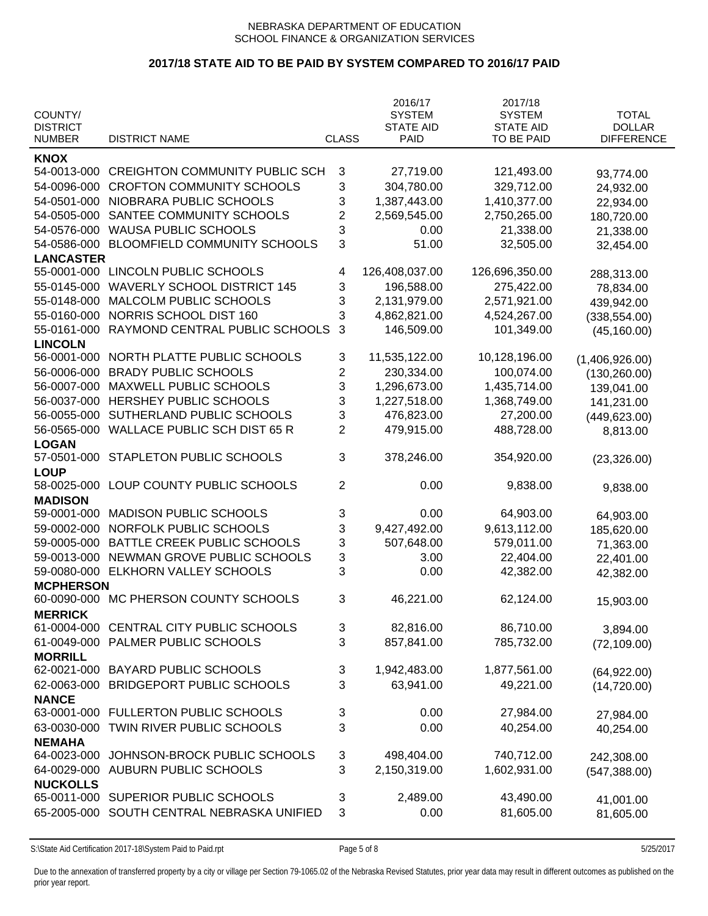# **2017/18 STATE AID TO BE PAID BY SYSTEM COMPARED TO 2016/17 PAID**

|                            |                                       |              | 2016/17                           | 2017/18                           |                               |
|----------------------------|---------------------------------------|--------------|-----------------------------------|-----------------------------------|-------------------------------|
| COUNTY/<br><b>DISTRICT</b> |                                       |              | <b>SYSTEM</b><br><b>STATE AID</b> | <b>SYSTEM</b><br><b>STATE AID</b> | <b>TOTAL</b><br><b>DOLLAR</b> |
| <b>NUMBER</b>              | <b>DISTRICT NAME</b>                  | <b>CLASS</b> | <b>PAID</b>                       | TO BE PAID                        | <b>DIFFERENCE</b>             |
|                            |                                       |              |                                   |                                   |                               |
| <b>KNOX</b>                |                                       |              |                                   |                                   |                               |
| 54-0013-000                | <b>CREIGHTON COMMUNITY PUBLIC SCH</b> | 3            | 27,719.00                         | 121,493.00                        | 93,774.00                     |
| 54-0096-000                | <b>CROFTON COMMUNITY SCHOOLS</b>      | 3            | 304,780.00                        | 329,712.00                        | 24,932.00                     |
| 54-0501-000                | NIOBRARA PUBLIC SCHOOLS               | 3            | 1,387,443.00                      | 1,410,377.00                      | 22,934.00                     |
| 54-0505-000                | SANTEE COMMUNITY SCHOOLS              | 2            | 2,569,545.00                      | 2,750,265.00                      | 180,720.00                    |
| 54-0576-000                | <b>WAUSA PUBLIC SCHOOLS</b>           | 3            | 0.00                              | 21,338.00                         | 21,338.00                     |
| 54-0586-000                | <b>BLOOMFIELD COMMUNITY SCHOOLS</b>   | 3            | 51.00                             | 32,505.00                         | 32,454.00                     |
| <b>LANCASTER</b>           |                                       |              |                                   |                                   |                               |
| 55-0001-000                | LINCOLN PUBLIC SCHOOLS                | 4            | 126,408,037.00                    | 126,696,350.00                    | 288,313.00                    |
| 55-0145-000                | <b>WAVERLY SCHOOL DISTRICT 145</b>    | 3            | 196,588.00                        | 275,422.00                        | 78,834.00                     |
| 55-0148-000                | MALCOLM PUBLIC SCHOOLS                | 3            | 2,131,979.00                      | 2,571,921.00                      | 439,942.00                    |
| 55-0160-000                | NORRIS SCHOOL DIST 160                | 3            | 4,862,821.00                      | 4,524,267.00                      | (338, 554.00)                 |
| 55-0161-000                | RAYMOND CENTRAL PUBLIC SCHOOLS        | 3            | 146,509.00                        | 101,349.00                        | (45, 160.00)                  |
| <b>LINCOLN</b>             |                                       |              |                                   |                                   |                               |
| 56-0001-000                | NORTH PLATTE PUBLIC SCHOOLS           | 3            | 11,535,122.00                     | 10,128,196.00                     | (1,406,926.00)                |
| 56-0006-000                | <b>BRADY PUBLIC SCHOOLS</b>           | 2            | 230,334.00                        | 100,074.00                        | (130, 260.00)                 |
| 56-0007-000                | MAXWELL PUBLIC SCHOOLS                | 3            | 1,296,673.00                      | 1,435,714.00                      | 139,041.00                    |
| 56-0037-000                | HERSHEY PUBLIC SCHOOLS                | 3            | 1,227,518.00                      | 1,368,749.00                      | 141,231.00                    |
| 56-0055-000                | SUTHERLAND PUBLIC SCHOOLS             | 3            | 476,823.00                        | 27,200.00                         | (449, 623.00)                 |
| 56-0565-000                | <b>WALLACE PUBLIC SCH DIST 65 R</b>   | 2            | 479,915.00                        | 488,728.00                        | 8,813.00                      |
| <b>LOGAN</b>               |                                       |              |                                   |                                   |                               |
| 57-0501-000                | STAPLETON PUBLIC SCHOOLS              | 3            | 378,246.00                        | 354,920.00                        | (23, 326.00)                  |
| <b>LOUP</b>                |                                       |              |                                   |                                   |                               |
| 58-0025-000                | LOUP COUNTY PUBLIC SCHOOLS            | 2            | 0.00                              | 9,838.00                          | 9,838.00                      |
| <b>MADISON</b>             |                                       |              |                                   |                                   |                               |
| 59-0001-000                | <b>MADISON PUBLIC SCHOOLS</b>         | 3            | 0.00                              | 64,903.00                         | 64,903.00                     |
| 59-0002-000                | NORFOLK PUBLIC SCHOOLS                | 3            | 9,427,492.00                      | 9,613,112.00                      | 185,620.00                    |
| 59-0005-000                | BATTLE CREEK PUBLIC SCHOOLS           | 3            | 507,648.00                        | 579,011.00                        | 71,363.00                     |
| 59-0013-000                | NEWMAN GROVE PUBLIC SCHOOLS           | 3            | 3.00                              | 22,404.00                         | 22,401.00                     |
| 59-0080-000                | ELKHORN VALLEY SCHOOLS                | 3            | 0.00                              | 42,382.00                         | 42,382.00                     |
| <b>MCPHERSON</b>           |                                       |              |                                   |                                   |                               |
|                            | 60-0090-000 MC PHERSON COUNTY SCHOOLS | 3            | 46,221.00                         | 62,124.00                         | 15,903.00                     |
| <b>MERRICK</b>             |                                       |              |                                   |                                   |                               |
| 61-0004-000                | CENTRAL CITY PUBLIC SCHOOLS           | 3            | 82,816.00                         | 86,710.00                         | 3,894.00                      |
| 61-0049-000                | PALMER PUBLIC SCHOOLS                 | 3            | 857,841.00                        | 785,732.00                        | (72, 109.00)                  |
| <b>MORRILL</b>             |                                       |              |                                   |                                   |                               |
| 62-0021-000                | <b>BAYARD PUBLIC SCHOOLS</b>          | 3            | 1,942,483.00                      | 1,877,561.00                      | (64, 922.00)                  |
| 62-0063-000                | <b>BRIDGEPORT PUBLIC SCHOOLS</b>      | 3            | 63,941.00                         | 49,221.00                         | (14, 720.00)                  |
| <b>NANCE</b>               |                                       |              |                                   |                                   |                               |
| 63-0001-000                | <b>FULLERTON PUBLIC SCHOOLS</b>       | 3            | 0.00                              | 27,984.00                         | 27,984.00                     |
| 63-0030-000                | TWIN RIVER PUBLIC SCHOOLS             | 3            | 0.00                              | 40,254.00                         | 40,254.00                     |
| <b>NEMAHA</b>              |                                       |              |                                   |                                   |                               |
| 64-0023-000                | JOHNSON-BROCK PUBLIC SCHOOLS          | 3            | 498,404.00                        | 740,712.00                        |                               |
| 64-0029-000                | AUBURN PUBLIC SCHOOLS                 | 3            | 2,150,319.00                      | 1,602,931.00                      | 242,308.00                    |
| <b>NUCKOLLS</b>            |                                       |              |                                   |                                   | (547, 388.00)                 |
| 65-0011-000                | SUPERIOR PUBLIC SCHOOLS               | 3            | 2,489.00                          | 43,490.00                         |                               |
| 65-2005-000                | SOUTH CENTRAL NEBRASKA UNIFIED        | 3            | 0.00                              | 81,605.00                         | 41,001.00                     |
|                            |                                       |              |                                   |                                   | 81,605.00                     |

S:\State Aid Certification 2017-18\System Paid to Paid.rpt Page 5 of 8 5/25/2017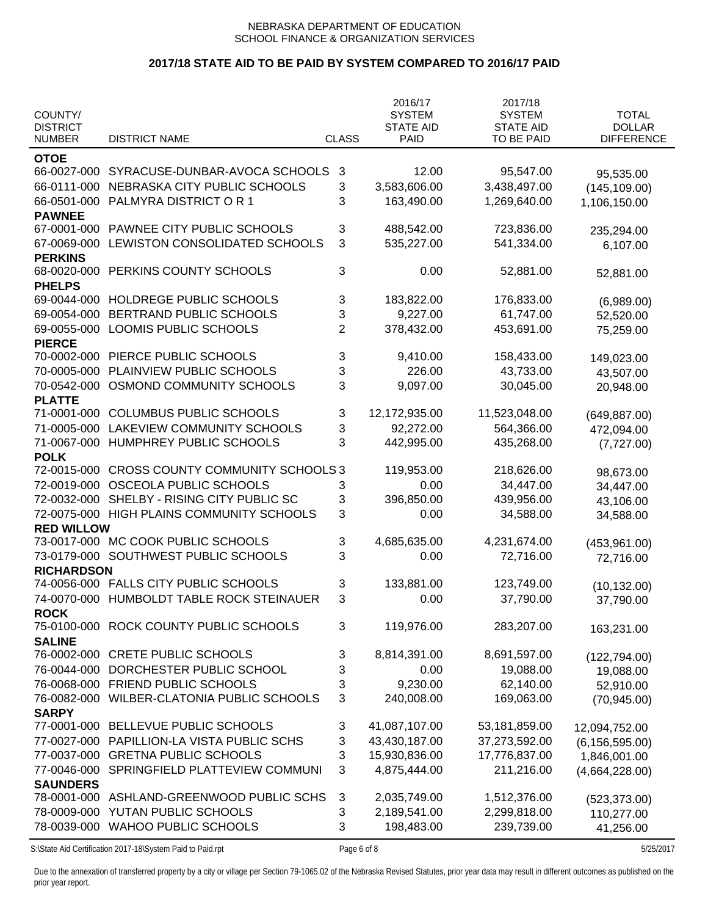# **2017/18 STATE AID TO BE PAID BY SYSTEM COMPARED TO 2016/17 PAID**

| COUNTY/<br><b>DISTRICT</b> |                                         |                | 2016/17<br><b>SYSTEM</b><br><b>STATE AID</b> | 2017/18<br><b>SYSTEM</b><br><b>STATE AID</b> | <b>TOTAL</b><br><b>DOLLAR</b> |
|----------------------------|-----------------------------------------|----------------|----------------------------------------------|----------------------------------------------|-------------------------------|
| <b>NUMBER</b>              | <b>DISTRICT NAME</b>                    | <b>CLASS</b>   | <b>PAID</b>                                  | TO BE PAID                                   | <b>DIFFERENCE</b>             |
| <b>OTOE</b>                |                                         |                |                                              |                                              |                               |
| 66-0027-000                | SYRACUSE-DUNBAR-AVOCA SCHOOLS           | 3              | 12.00                                        | 95,547.00                                    |                               |
| 66-0111-000                | NEBRASKA CITY PUBLIC SCHOOLS            | 3              | 3,583,606.00                                 | 3,438,497.00                                 | 95,535.00                     |
| 66-0501-000                | PALMYRA DISTRICT OR 1                   | 3              | 163,490.00                                   | 1,269,640.00                                 | (145, 109.00)                 |
| <b>PAWNEE</b>              |                                         |                |                                              |                                              | 1,106,150.00                  |
| 67-0001-000                | PAWNEE CITY PUBLIC SCHOOLS              | 3              | 488,542.00                                   | 723,836.00                                   | 235,294.00                    |
| 67-0069-000                | LEWISTON CONSOLIDATED SCHOOLS           | 3              | 535,227.00                                   | 541,334.00                                   |                               |
| <b>PERKINS</b>             |                                         |                |                                              |                                              | 6,107.00                      |
| 68-0020-000                | PERKINS COUNTY SCHOOLS                  | 3              | 0.00                                         | 52,881.00                                    |                               |
| <b>PHELPS</b>              |                                         |                |                                              |                                              | 52,881.00                     |
| 69-0044-000                | HOLDREGE PUBLIC SCHOOLS                 | 3              | 183,822.00                                   | 176,833.00                                   |                               |
| 69-0054-000                | BERTRAND PUBLIC SCHOOLS                 | 3              | 9,227.00                                     | 61,747.00                                    | (6,989.00)                    |
| 69-0055-000                | <b>LOOMIS PUBLIC SCHOOLS</b>            | $\overline{2}$ | 378,432.00                                   | 453,691.00                                   | 52,520.00                     |
| <b>PIERCE</b>              |                                         |                |                                              |                                              | 75,259.00                     |
| 70-0002-000                | PIERCE PUBLIC SCHOOLS                   | 3              | 9,410.00                                     | 158,433.00                                   |                               |
| 70-0005-000                | PLAINVIEW PUBLIC SCHOOLS                | 3              | 226.00                                       | 43,733.00                                    | 149,023.00                    |
| 70-0542-000                | OSMOND COMMUNITY SCHOOLS                | 3              | 9,097.00                                     | 30,045.00                                    | 43,507.00                     |
| <b>PLATTE</b>              |                                         |                |                                              |                                              | 20,948.00                     |
| 71-0001-000                | <b>COLUMBUS PUBLIC SCHOOLS</b>          | 3              | 12,172,935.00                                | 11,523,048.00                                |                               |
| 71-0005-000                | <b>LAKEVIEW COMMUNITY SCHOOLS</b>       | 3              | 92,272.00                                    | 564,366.00                                   | (649, 887.00)                 |
| 71-0067-000                | HUMPHREY PUBLIC SCHOOLS                 | 3              | 442,995.00                                   | 435,268.00                                   | 472,094.00                    |
| <b>POLK</b>                |                                         |                |                                              |                                              | (7,727.00)                    |
| 72-0015-000                | <b>CROSS COUNTY COMMUNITY SCHOOLS 3</b> |                | 119,953.00                                   | 218,626.00                                   |                               |
| 72-0019-000                | OSCEOLA PUBLIC SCHOOLS                  | 3              | 0.00                                         | 34,447.00                                    | 98,673.00                     |
| 72-0032-000                | SHELBY - RISING CITY PUBLIC SC          | 3              | 396,850.00                                   | 439,956.00                                   | 34,447.00                     |
| 72-0075-000                | HIGH PLAINS COMMUNITY SCHOOLS           | 3              | 0.00                                         | 34,588.00                                    | 43,106.00                     |
| <b>RED WILLOW</b>          |                                         |                |                                              |                                              | 34,588.00                     |
| 73-0017-000                | MC COOK PUBLIC SCHOOLS                  | 3              | 4,685,635.00                                 | 4,231,674.00                                 |                               |
| 73-0179-000                | SOUTHWEST PUBLIC SCHOOLS                | 3              | 0.00                                         | 72,716.00                                    | (453, 961.00)                 |
| <b>RICHARDSON</b>          |                                         |                |                                              |                                              | 72,716.00                     |
|                            | 74-0056-000 FALLS CITY PUBLIC SCHOOLS   | 3              | 133,881.00                                   | 123,749.00                                   |                               |
| 74-0070-000                | HUMBOLDT TABLE ROCK STEINAUER           | 3              | 0.00                                         | 37,790.00                                    | (10, 132.00)                  |
| <b>ROCK</b>                |                                         |                |                                              |                                              | 37,790.00                     |
| 75-0100-000                | ROCK COUNTY PUBLIC SCHOOLS              | 3              | 119,976.00                                   | 283,207.00                                   |                               |
| <b>SALINE</b>              |                                         |                |                                              |                                              | 163,231.00                    |
| 76-0002-000                | <b>CRETE PUBLIC SCHOOLS</b>             | 3              | 8,814,391.00                                 | 8,691,597.00                                 | (122, 794.00)                 |
| 76-0044-000                | DORCHESTER PUBLIC SCHOOL                | 3              | 0.00                                         | 19,088.00                                    | 19,088.00                     |
| 76-0068-000                | FRIEND PUBLIC SCHOOLS                   | 3              | 9,230.00                                     | 62,140.00                                    | 52,910.00                     |
| 76-0082-000                | WILBER-CLATONIA PUBLIC SCHOOLS          | 3              | 240,008.00                                   | 169,063.00                                   |                               |
| <b>SARPY</b>               |                                         |                |                                              |                                              | (70, 945.00)                  |
| 77-0001-000                | BELLEVUE PUBLIC SCHOOLS                 | 3              | 41,087,107.00                                | 53,181,859.00                                | 12,094,752.00                 |
| 77-0027-000                | PAPILLION-LA VISTA PUBLIC SCHS          | 3              | 43,430,187.00                                | 37,273,592.00                                |                               |
| 77-0037-000                | <b>GRETNA PUBLIC SCHOOLS</b>            | 3              | 15,930,836.00                                | 17,776,837.00                                | (6, 156, 595.00)              |
| 77-0046-000                | SPRINGFIELD PLATTEVIEW COMMUNI          | 3              | 4,875,444.00                                 | 211,216.00                                   | 1,846,001.00                  |
| <b>SAUNDERS</b>            |                                         |                |                                              |                                              | (4,664,228.00)                |
| 78-0001-000                | ASHLAND-GREENWOOD PUBLIC SCHS           | $\sqrt{3}$     | 2,035,749.00                                 | 1,512,376.00                                 |                               |
| 78-0009-000                | YUTAN PUBLIC SCHOOLS                    | 3              | 2,189,541.00                                 | 2,299,818.00                                 | (523, 373.00)                 |
| 78-0039-000                | <b>WAHOO PUBLIC SCHOOLS</b>             | 3              | 198,483.00                                   | 239,739.00                                   | 110,277.00                    |
|                            |                                         |                |                                              |                                              | 41,256.00                     |

S:\State Aid Certification 2017-18\System Paid to Paid.rpt Page 6 of 8 5/25/2017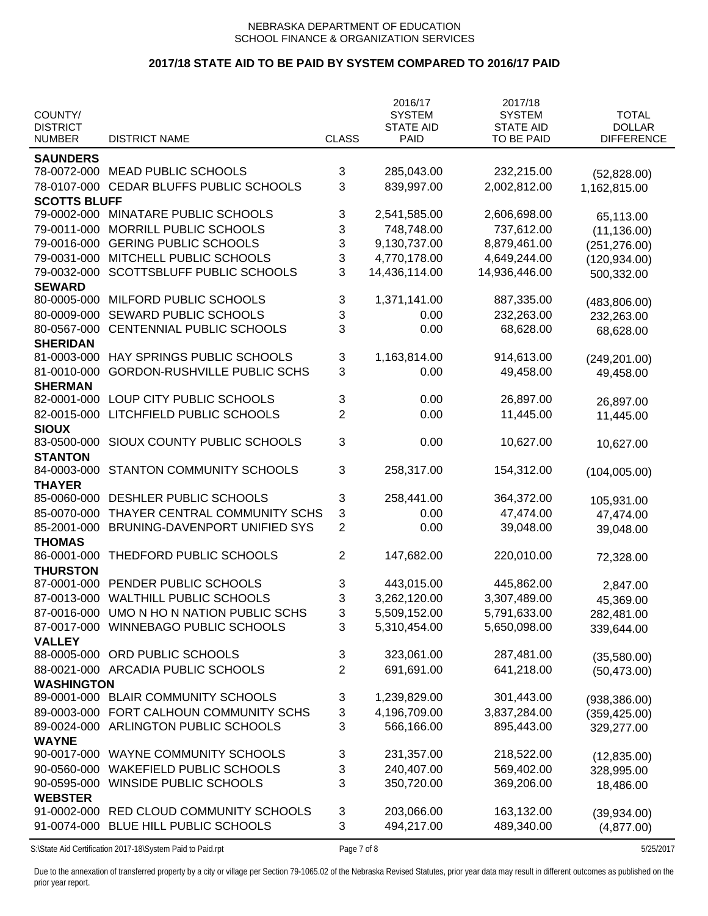# **2017/18 STATE AID TO BE PAID BY SYSTEM COMPARED TO 2016/17 PAID**

| COUNTY/<br><b>DISTRICT</b> |                                           |                | 2016/17<br><b>SYSTEM</b><br><b>STATE AID</b> | 2017/18<br><b>SYSTEM</b><br><b>STATE AID</b> | <b>TOTAL</b><br><b>DOLLAR</b> |
|----------------------------|-------------------------------------------|----------------|----------------------------------------------|----------------------------------------------|-------------------------------|
| <b>NUMBER</b>              | <b>DISTRICT NAME</b>                      | <b>CLASS</b>   | PAID                                         | TO BE PAID                                   | <b>DIFFERENCE</b>             |
| <b>SAUNDERS</b>            |                                           |                |                                              |                                              |                               |
| 78-0072-000                | <b>MEAD PUBLIC SCHOOLS</b>                | 3              | 285,043.00                                   | 232,215.00                                   | (52,828.00)                   |
| 78-0107-000                | CEDAR BLUFFS PUBLIC SCHOOLS               | 3              | 839,997.00                                   | 2,002,812.00                                 | 1,162,815.00                  |
| <b>SCOTTS BLUFF</b>        |                                           |                |                                              |                                              |                               |
| 79-0002-000                | MINATARE PUBLIC SCHOOLS                   | 3              | 2,541,585.00                                 | 2,606,698.00                                 | 65,113.00                     |
| 79-0011-000                | MORRILL PUBLIC SCHOOLS                    | 3              | 748,748.00                                   | 737,612.00                                   | (11, 136.00)                  |
| 79-0016-000                | <b>GERING PUBLIC SCHOOLS</b>              | 3              | 9,130,737.00                                 | 8,879,461.00                                 | (251, 276.00)                 |
| 79-0031-000                | MITCHELL PUBLIC SCHOOLS                   | 3              | 4,770,178.00                                 | 4,649,244.00                                 | (120, 934.00)                 |
| 79-0032-000                | SCOTTSBLUFF PUBLIC SCHOOLS                | 3              | 14,436,114.00                                | 14,936,446.00                                | 500,332.00                    |
| <b>SEWARD</b>              |                                           |                |                                              |                                              |                               |
| 80-0005-000                | MILFORD PUBLIC SCHOOLS                    | 3              | 1,371,141.00                                 | 887,335.00                                   | (483, 806.00)                 |
| 80-0009-000                | SEWARD PUBLIC SCHOOLS                     | 3              | 0.00                                         | 232,263.00                                   | 232,263.00                    |
| 80-0567-000                | CENTENNIAL PUBLIC SCHOOLS                 | 3              | 0.00                                         | 68,628.00                                    |                               |
| <b>SHERIDAN</b>            |                                           |                |                                              |                                              | 68,628.00                     |
| 81-0003-000                | HAY SPRINGS PUBLIC SCHOOLS                | 3              | 1,163,814.00                                 | 914,613.00                                   | (249, 201.00)                 |
| 81-0010-000                | <b>GORDON-RUSHVILLE PUBLIC SCHS</b>       | 3              | 0.00                                         | 49,458.00                                    | 49,458.00                     |
| <b>SHERMAN</b>             |                                           |                |                                              |                                              |                               |
| 82-0001-000                | LOUP CITY PUBLIC SCHOOLS                  | 3              | 0.00                                         | 26,897.00                                    | 26,897.00                     |
| 82-0015-000                | LITCHFIELD PUBLIC SCHOOLS                 | $\overline{2}$ | 0.00                                         | 11,445.00                                    | 11,445.00                     |
| <b>SIOUX</b>               |                                           |                |                                              |                                              |                               |
| 83-0500-000                | SIOUX COUNTY PUBLIC SCHOOLS               | 3              | 0.00                                         | 10,627.00                                    | 10,627.00                     |
| <b>STANTON</b>             |                                           |                |                                              |                                              |                               |
| 84-0003-000                | STANTON COMMUNITY SCHOOLS                 | 3              | 258,317.00                                   | 154,312.00                                   | (104,005.00)                  |
| <b>THAYER</b>              |                                           |                |                                              |                                              |                               |
| 85-0060-000                | DESHLER PUBLIC SCHOOLS                    | 3              | 258,441.00                                   | 364,372.00                                   | 105,931.00                    |
| 85-0070-000                | THAYER CENTRAL COMMUNITY SCHS             | 3              | 0.00                                         | 47,474.00                                    | 47,474.00                     |
| 85-2001-000                | BRUNING-DAVENPORT UNIFIED SYS             | 2              | 0.00                                         | 39,048.00                                    | 39,048.00                     |
| <b>THOMAS</b>              |                                           |                |                                              |                                              |                               |
| 86-0001-000                | THEDFORD PUBLIC SCHOOLS                   | 2              | 147,682.00                                   | 220,010.00                                   | 72,328.00                     |
| <b>THURSTON</b>            |                                           |                |                                              |                                              |                               |
| 87-0001-000                | PENDER PUBLIC SCHOOLS                     | 3              | 443,015.00                                   | 445,862.00                                   | 2,847.00                      |
| 87-0013-000                | <b>WALTHILL PUBLIC SCHOOLS</b>            | 3              | 3,262,120.00                                 | 3,307,489.00                                 | 45,369.00                     |
|                            | 87-0016-000 UMO N HO N NATION PUBLIC SCHS | 3              | 5,509,152.00                                 | 5,791,633.00                                 | 282,481.00                    |
|                            | 87-0017-000 WINNEBAGO PUBLIC SCHOOLS      | 3              | 5,310,454.00                                 | 5,650,098.00                                 | 339,644.00                    |
| <b>VALLEY</b>              |                                           |                |                                              |                                              |                               |
| 88-0005-000                | ORD PUBLIC SCHOOLS                        | 3              | 323,061.00                                   | 287,481.00                                   | (35,580.00)                   |
|                            | 88-0021-000 ARCADIA PUBLIC SCHOOLS        | 2              | 691,691.00                                   | 641,218.00                                   | (50, 473.00)                  |
| <b>WASHINGTON</b>          |                                           |                |                                              |                                              |                               |
| 89-0001-000                | <b>BLAIR COMMUNITY SCHOOLS</b>            | 3              | 1,239,829.00                                 | 301,443.00                                   | (938, 386.00)                 |
| 89-0003-000                | FORT CALHOUN COMMUNITY SCHS               | 3              | 4,196,709.00                                 | 3,837,284.00                                 | (359, 425.00)                 |
| 89-0024-000                | ARLINGTON PUBLIC SCHOOLS                  | 3              | 566,166.00                                   | 895,443.00                                   | 329,277.00                    |
| <b>WAYNE</b>               |                                           |                |                                              |                                              |                               |
| 90-0017-000                | WAYNE COMMUNITY SCHOOLS                   | 3              | 231,357.00                                   | 218,522.00                                   | (12, 835.00)                  |
| 90-0560-000                | <b>WAKEFIELD PUBLIC SCHOOLS</b>           | 3              | 240,407.00                                   | 569,402.00                                   | 328,995.00                    |
| 90-0595-000                | WINSIDE PUBLIC SCHOOLS                    | 3              | 350,720.00                                   | 369,206.00                                   | 18,486.00                     |
| <b>WEBSTER</b>             |                                           |                |                                              |                                              |                               |
| 91-0002-000                | RED CLOUD COMMUNITY SCHOOLS               | 3              | 203,066.00                                   | 163,132.00                                   | (39, 934.00)                  |
| 91-0074-000                | BLUE HILL PUBLIC SCHOOLS                  | 3              | 494,217.00                                   | 489,340.00                                   | (4,877.00)                    |
|                            |                                           |                |                                              |                                              |                               |

S:\State Aid Certification 2017-18\System Paid to Paid.rpt Page 7 of 8 5/25/2017